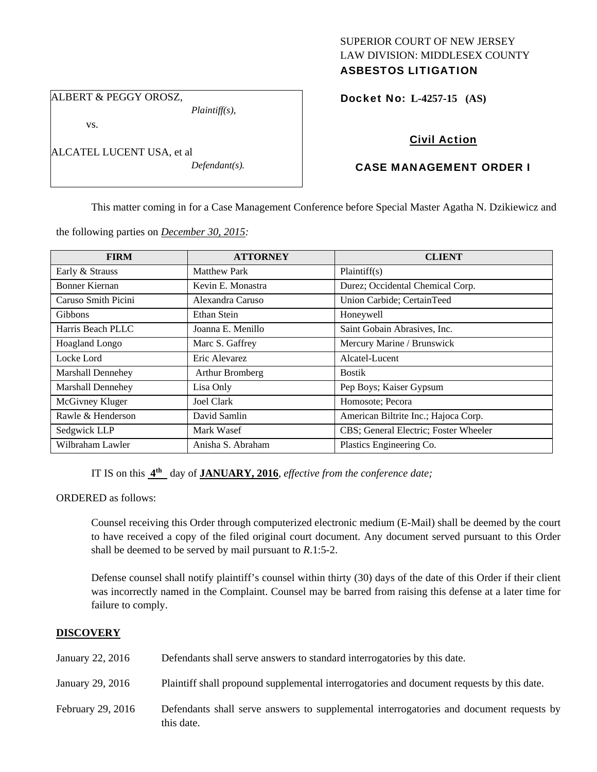## SUPERIOR COURT OF NEW JERSEY LAW DIVISION: MIDDLESEX COUNTY ASBESTOS LITIGATION

ALBERT & PEGGY OROSZ,

vs.

ALCATEL LUCENT USA, et al

*Defendant(s).* 

*Plaintiff(s),* 

## Docket No: **L-4257-15 (AS)**

# Civil Action

# CASE MANAGEMENT ORDER I

This matter coming in for a Case Management Conference before Special Master Agatha N. Dzikiewicz and

the following parties on *December 30, 2015:* 

| <b>FIRM</b>              | <b>ATTORNEY</b>     | <b>CLIENT</b>                         |
|--------------------------|---------------------|---------------------------------------|
| Early & Strauss          | <b>Matthew Park</b> | Plaintiff(s)                          |
| Bonner Kiernan           | Kevin E. Monastra   | Durez; Occidental Chemical Corp.      |
| Caruso Smith Picini      | Alexandra Caruso    | Union Carbide; CertainTeed            |
| <b>Gibbons</b>           | Ethan Stein         | Honeywell                             |
| Harris Beach PLLC        | Joanna E. Menillo   | Saint Gobain Abrasives, Inc.          |
| Hoagland Longo           | Marc S. Gaffrey     | Mercury Marine / Brunswick            |
| Locke Lord               | Eric Alevarez       | Alcatel-Lucent                        |
| <b>Marshall Dennehey</b> | Arthur Bromberg     | <b>Bostik</b>                         |
| <b>Marshall Dennehey</b> | Lisa Only           | Pep Boys; Kaiser Gypsum               |
| McGivney Kluger          | <b>Joel Clark</b>   | Homosote; Pecora                      |
| Rawle & Henderson        | David Samlin        | American Biltrite Inc.; Hajoca Corp.  |
| Sedgwick LLP             | Mark Wasef          | CBS; General Electric; Foster Wheeler |
| Wilbraham Lawler         | Anisha S. Abraham   | Plastics Engineering Co.              |

IT IS on this **4th** day of **JANUARY, 2016**, *effective from the conference date;*

ORDERED as follows:

Counsel receiving this Order through computerized electronic medium (E-Mail) shall be deemed by the court to have received a copy of the filed original court document. Any document served pursuant to this Order shall be deemed to be served by mail pursuant to *R*.1:5-2.

Defense counsel shall notify plaintiff's counsel within thirty (30) days of the date of this Order if their client was incorrectly named in the Complaint. Counsel may be barred from raising this defense at a later time for failure to comply.

## **DISCOVERY**

| January 22, 2016  | Defendants shall serve answers to standard interrogatories by this date.                              |
|-------------------|-------------------------------------------------------------------------------------------------------|
| January 29, 2016  | Plaintiff shall propound supplemental interrogatories and document requests by this date.             |
| February 29, 2016 | Defendants shall serve answers to supplemental interrogatories and document requests by<br>this date. |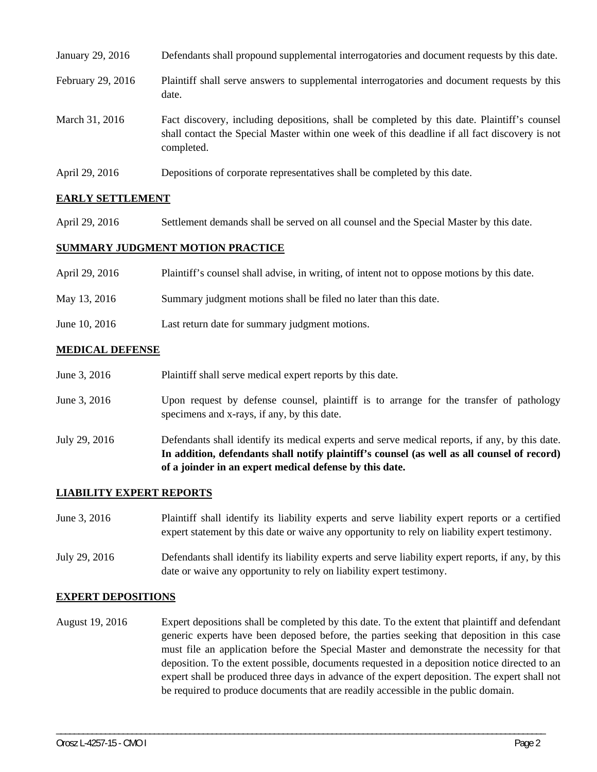| January 29, 2016  | Defendants shall propound supplemental interrogatories and document requests by this date.                                                                                                                  |
|-------------------|-------------------------------------------------------------------------------------------------------------------------------------------------------------------------------------------------------------|
| February 29, 2016 | Plaintiff shall serve answers to supplemental interrogatories and document requests by this<br>date.                                                                                                        |
| March 31, 2016    | Fact discovery, including depositions, shall be completed by this date. Plaintiff's counsel<br>shall contact the Special Master within one week of this deadline if all fact discovery is not<br>completed. |
| April 29, 2016    | Depositions of corporate representatives shall be completed by this date.                                                                                                                                   |

## **EARLY SETTLEMENT**

April 29, 2016 Settlement demands shall be served on all counsel and the Special Master by this date.

#### **SUMMARY JUDGMENT MOTION PRACTICE**

| April 29, 2016 | Plaintiff's counsel shall advise, in writing, of intent not to oppose motions by this date. |
|----------------|---------------------------------------------------------------------------------------------|
| May 13, 2016   | Summary judgment motions shall be filed no later than this date.                            |
| June 10, 2016  | Last return date for summary judgment motions.                                              |

## **MEDICAL DEFENSE**

| June 3, 2016  | Plaintiff shall serve medical expert reports by this date.                                                                                                                                                                                               |  |
|---------------|----------------------------------------------------------------------------------------------------------------------------------------------------------------------------------------------------------------------------------------------------------|--|
| June 3, 2016  | Upon request by defense counsel, plaintiff is to arrange for the transfer of pathology<br>specimens and x-rays, if any, by this date.                                                                                                                    |  |
| July 29, 2016 | Defendants shall identify its medical experts and serve medical reports, if any, by this date.<br>In addition, defendants shall notify plaintiff's counsel (as well as all counsel of record)<br>of a joinder in an expert medical defense by this date. |  |

## **LIABILITY EXPERT REPORTS**

| June 3, 2016 | Plaintiff shall identify its liability experts and serve liability expert reports or a certified |
|--------------|--------------------------------------------------------------------------------------------------|
|              | expert statement by this date or waive any opportunity to rely on liability expert testimony.    |

July 29, 2016 Defendants shall identify its liability experts and serve liability expert reports, if any, by this date or waive any opportunity to rely on liability expert testimony.

#### **EXPERT DEPOSITIONS**

August 19, 2016 Expert depositions shall be completed by this date. To the extent that plaintiff and defendant generic experts have been deposed before, the parties seeking that deposition in this case must file an application before the Special Master and demonstrate the necessity for that deposition. To the extent possible, documents requested in a deposition notice directed to an expert shall be produced three days in advance of the expert deposition. The expert shall not be required to produce documents that are readily accessible in the public domain.

\_\_\_\_\_\_\_\_\_\_\_\_\_\_\_\_\_\_\_\_\_\_\_\_\_\_\_\_\_\_\_\_\_\_\_\_\_\_\_\_\_\_\_\_\_\_\_\_\_\_\_\_\_\_\_\_\_\_\_\_\_\_\_\_\_\_\_\_\_\_\_\_\_\_\_\_\_\_\_\_\_\_\_\_\_\_\_\_\_\_\_\_\_\_\_\_\_\_\_\_\_\_\_\_\_\_\_\_\_\_